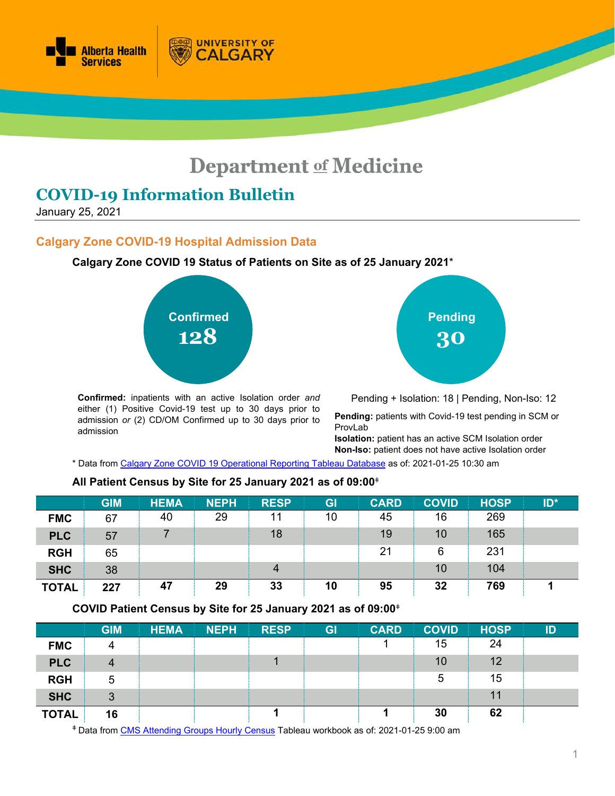

# **Department of Medicine**

# **COVID-19 Information Bulletin**

January 25, 2021

#### **Calgary Zone COVID-19 Hospital Admission Data**

**Calgary Zone COVID 19 Status of Patients on Site as of 25 January 2021**\*

**UNIVERSITY OF** 

**ALGARY** 



**Confirmed:** inpatients with an active Isolation order *and* either (1) Positive Covid-19 test up to 30 days prior to admission *or* (2) CD/OM Confirmed up to 30 days prior to admission

**Pending 30**

Pending + Isolation: 18 | Pending, Non-Iso: 12

**Pending:** patients with Covid-19 test pending in SCM or ProvLab

**Isolation:** patient has an active SCM Isolation order **Non-Iso:** patient does not have active Isolation order

\* Data from [Calgary Zone COVID 19 Operational Reporting](https://tableau.albertahealthservices.ca/#/views/Covid19StatusCalgarySites/COVID19StatusCZSites?:iid=1) Tableau Database as of: 2021-01-25 10:30 am

#### **All Patient Census by Site for 25 January 2021 as of 09:00**<sup>ǂ</sup>

|              | <b>GIM</b> | <b>HEMA</b> | <b>NEPH</b> | <b>RESP</b> | GI | <b>CARD</b> | <b>COVID</b> | <b>HOSP</b> | $ID^*$ |
|--------------|------------|-------------|-------------|-------------|----|-------------|--------------|-------------|--------|
| <b>FMC</b>   | 67         | 40          | 29          | 11          | 10 | 45          | 16           | 269         |        |
| <b>PLC</b>   | 57         |             |             | 18          |    | 19          | 10           | 165         |        |
| <b>RGH</b>   | 65         |             |             |             |    | 21          | 6            | 231         |        |
| <b>SHC</b>   | 38         |             |             | 4           |    |             | 10           | 104         |        |
| <b>TOTAL</b> | 227        | 47          | 29          | 33          | 10 | 95          | 32           | 769         |        |

#### **COVID Patient Census by Site for 25 January 2021 as of 09:00**<sup>ǂ</sup>

|              | <b>GIM</b> | <b>HEMA</b> | <b>NEPH</b> | <b>RESP</b> | <b>GI</b> | <b>CARD</b> | <b>COVID</b> | <b>HOSP</b> | ID |
|--------------|------------|-------------|-------------|-------------|-----------|-------------|--------------|-------------|----|
| <b>FMC</b>   | 4          |             |             |             |           |             | 15           | 24          |    |
| <b>PLC</b>   | 4          |             |             |             |           |             | 10           | 12          |    |
| <b>RGH</b>   | 5          |             |             |             |           |             | 5            | 15          |    |
| <b>SHC</b>   | 3          |             |             |             |           |             |              | 11          |    |
| <b>TOTAL</b> | 16         |             |             |             |           |             | 30           | 62          |    |

<sup>ǂ</sup> Data from [CMS Attending Groups Hourly Census](https://tableau.albertahealthservices.ca/#/workbooks/29067/views) Tableau workbook as of: 2021-01-25 9:00 am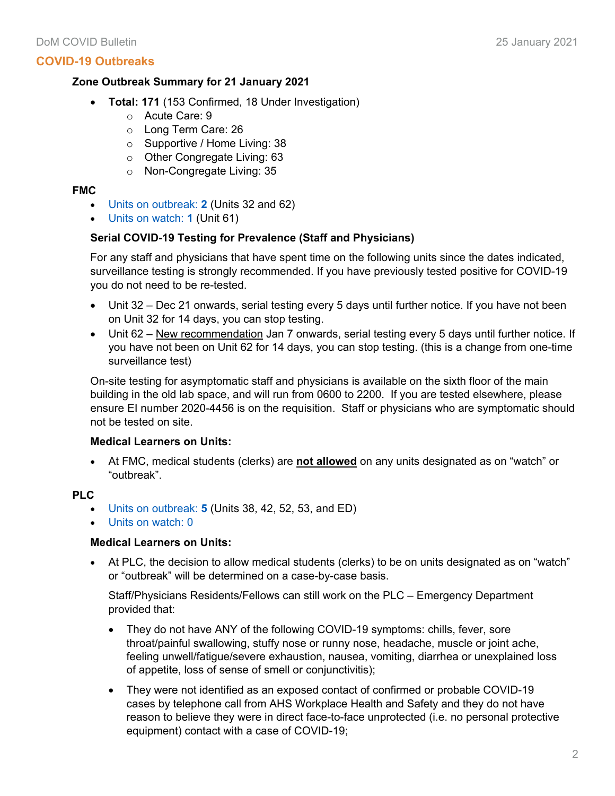#### **COVID-19 Outbreaks**

#### **Zone Outbreak Summary for 21 January 2021**

- **Total: 171** (153 Confirmed, 18 Under Investigation)
	- o Acute Care: 9
	- o Long Term Care: 26
	- o Supportive / Home Living: 38
	- o Other Congregate Living: 63
	- o Non-Congregate Living: 35

#### **FMC**

- Units on outbreak: **2** (Units 32 and 62)
- Units on watch: **1** (Unit 61)

#### **Serial COVID-19 Testing for Prevalence (Staff and Physicians)**

For any staff and physicians that have spent time on the following units since the dates indicated, surveillance testing is strongly recommended. If you have previously tested positive for COVID-19 you do not need to be re-tested.

- Unit 32 Dec 21 onwards, serial testing every 5 days until further notice. If you have not been on Unit 32 for 14 days, you can stop testing.
- Unit 62 New recommendation Jan 7 onwards, serial testing every 5 days until further notice. If you have not been on Unit 62 for 14 days, you can stop testing. (this is a change from one-time surveillance test)

On-site testing for asymptomatic staff and physicians is available on the sixth floor of the main building in the old lab space, and will run from 0600 to 2200. If you are tested elsewhere, please ensure EI number 2020-4456 is on the requisition. Staff or physicians who are symptomatic should not be tested on site.

#### **Medical Learners on Units:**

• At FMC, medical students (clerks) are **not allowed** on any units designated as on "watch" or "outbreak".

#### **PLC**

- Units on outbreak: **5** (Units 38, 42, 52, 53, and ED)
- Units on watch: 0

#### **Medical Learners on Units:**

• At PLC, the decision to allow medical students (clerks) to be on units designated as on "watch" or "outbreak" will be determined on a case-by-case basis.

Staff/Physicians Residents/Fellows can still work on the PLC – Emergency Department provided that:

- They do not have ANY of the following COVID-19 symptoms: chills, fever, sore throat/painful swallowing, stuffy nose or runny nose, headache, muscle or joint ache, feeling unwell/fatigue/severe exhaustion, nausea, vomiting, diarrhea or unexplained loss of appetite, loss of sense of smell or conjunctivitis);
- They were not identified as an exposed contact of confirmed or probable COVID-19 cases by telephone call from AHS Workplace Health and Safety and they do not have reason to believe they were in direct face-to-face unprotected (i.e. no personal protective equipment) contact with a case of COVID-19;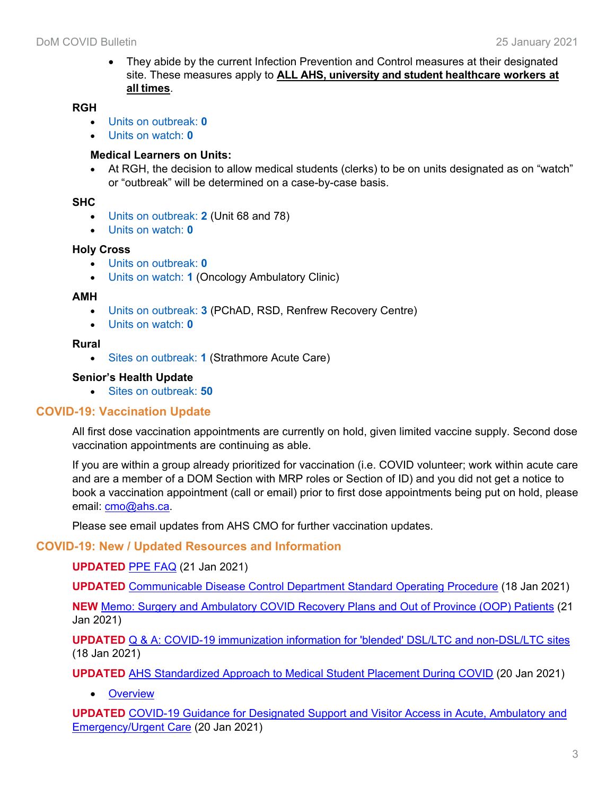• They abide by the current Infection Prevention and Control measures at their designated site. These measures apply to **ALL AHS, university and student healthcare workers at all times**.

#### **RGH**

- Units on outbreak: **0**
- Units on watch: **0**

### **Medical Learners on Units:**

• At RGH, the decision to allow medical students (clerks) to be on units designated as on "watch" or "outbreak" will be determined on a case-by-case basis.

#### **SHC**

- Units on outbreak: **2** (Unit 68 and 78)
- Units on watch: **0**

#### **Holy Cross**

- Units on outbreak: **0**
- Units on watch: **1** (Oncology Ambulatory Clinic)

#### **AMH**

- Units on outbreak: **3** (PChAD, RSD, Renfrew Recovery Centre)
- Units on watch: **0**

#### **Rural**

• Sites on outbreak: **1** (Strathmore Acute Care)

#### **Senior's Health Update**

• Sites on outbreak: **50**

# **COVID-19: Vaccination Update**

All first dose vaccination appointments are currently on hold, given limited vaccine supply. Second dose vaccination appointments are continuing as able.

If you are within a group already prioritized for vaccination (i.e. COVID volunteer; work within acute care and are a member of a DOM Section with MRP roles or Section of ID) and you did not get a notice to book a vaccination appointment (call or email) prior to first dose appointments being put on hold, please email: [cmo@ahs.ca.](mailto:cmo@ahs.ca)

Please see email updates from AHS CMO for further vaccination updates.

# **COVID-19: New / Updated Resources and Information**

#### **UPDATED** [PPE FAQ](https://www.albertahealthservices.ca/assets/info/ppih/if-ppih-covid-19-ppe-faq.pdf) (21 Jan 2021)

**UPDATED** [Communicable Disease Control Department Standard Operating Procedure](https://insite.albertahealthservices.ca/main/assets/tms/cdc/tms-cdc-nd-novel-coronaviruses-dsop.pdf) (18 Jan 2021)

**NEW** [Memo: Surgery and Ambulatory COVID Recovery Plans and Out of Province \(OOP\) Patients](https://www.departmentofmedicine.com/meoc/covid-surgery-ambulatory-recovery-plans-oop-patients.pdf) (21 Jan 2021)

**UPDATED** [Q & A: COVID-19 immunization information for 'blended' DSL/LTC and non-DSL/LTC sites](https://www.departmentofmedicine.com/meoc/qa-immunization-blended-ltc-dsl-non-designated-space-sites.pdf) (18 Jan 2021)

**UPDATED** [AHS Standardized Approach to Medical Student Placement During COVID](https://insite.albertahealthservices.ca/Main/assets/tls/ep/tls-ep-covid-19-medical-student-placement.pdf) (20 Jan 2021)

• [Overview](https://www.albertahealthservices.ca/topics/Page17069.aspx)

**UPDATED** [COVID-19 Guidance for Designated Support and Visitor Access in Acute, Ambulatory and](https://www.albertahealthservices.ca/assets/healthinfo/ipc/hi-ipc-covid19-infosht-visiting-pts-pandemic.pdf)  [Emergency/Urgent Care](https://www.albertahealthservices.ca/assets/healthinfo/ipc/hi-ipc-covid19-infosht-visiting-pts-pandemic.pdf) (20 Jan 2021)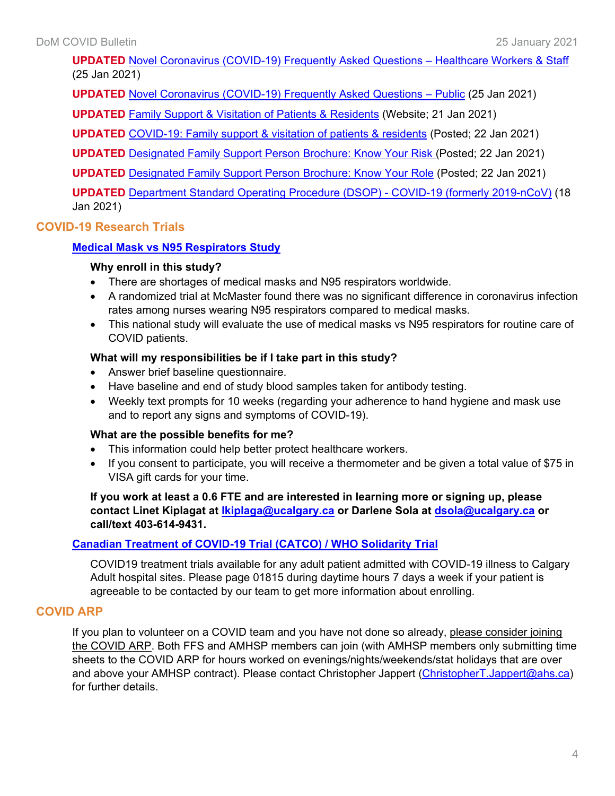**UPDATED** [Novel Coronavirus \(COVID-19\) Frequently Asked Questions –](https://www.albertahealthservices.ca/assets/info/ppih/if-ppih-ncov-2019-staff-faq.pdf) Healthcare Workers & Staff (25 Jan 2021)

**UPDATED** [Novel Coronavirus \(COVID-19\) Frequently Asked Questions –](https://www.albertahealthservices.ca/assets/info/ppih/if-ppih-ncov-2019-public-faq.pdf) Public (25 Jan 2021)

**UPDATED** [Family Support & Visitation of Patients & Residents](https://www.albertahealthservices.ca/topics/Page17001.aspx) (Website; 21 Jan 2021)

**UPDATED** [COVID-19: Family support & visitation of patients & residents](https://www.albertahealthservices.ca/assets/info/ppih/if-ppih-covid-19-visitor-restrictions-one-pager.pdf) (Posted; 22 Jan 2021)

**UPDATED** [Designated Family Support Person Brochure: Know Your Risk \(](https://www.albertahealthservices.ca/assets/info/ppih/if-ppih-covid-19-dfsp-know-your-risk.pdf)Posted; 22 Jan 2021)

**UPDATED** [Designated Family Support Person Brochure: Know Your Role](https://www.albertahealthservices.ca/assets/info/ppih/if-ppih-covid-19-dfsp-know-your-role.pdf) (Posted; 22 Jan 2021)

**UPDATED** [Department Standard Operating Procedure \(DSOP\) -](https://insite.albertahealthservices.ca/main/assets/tms/cdc/tms-cdc-nd-novel-coronaviruses-dsop.pdf) COVID-19 (formerly 2019-nCoV) (18 Jan 2021)

# **COVID-19 Research Trials**

#### **Medical Mask vs [N95 Respirators](http://www.departmentofmedicine.com/meoc/medical_mask_vs_n95_mask_study_healthcare_worker_info_sheet_sept_30_2020.pdf) Study**

#### **Why enroll in this study?**

- There are shortages of medical masks and N95 respirators worldwide.
- A randomized trial at McMaster found there was no significant difference in coronavirus infection rates among nurses wearing N95 respirators compared to medical masks.
- This national study will evaluate the use of medical masks vs N95 respirators for routine care of COVID patients.

#### **What will my responsibilities be if I take part in this study?**

- Answer brief baseline questionnaire.
- Have baseline and end of study blood samples taken for antibody testing.
- Weekly text prompts for 10 weeks (regarding your adherence to hand hygiene and mask use and to report any signs and symptoms of COVID-19).

#### **What are the possible benefits for me?**

- This information could help better protect healthcare workers.
- If you consent to participate, you will receive a thermometer and be given a total value of \$75 in VISA gift cards for your time.

#### **If you work at least a 0.6 FTE and are interested in learning more or signing up, please contact Linet Kiplagat at [lkiplaga@ucalgary.ca](mailto:lkiplaga@ucalgary.ca) or Darlene Sola at [dsola@ucalgary.ca](mailto:dsola@ucalgary.ca) or call/text 403-614-9431.**

# **[Canadian Treatment of COVID-19 Trial \(CATCO\) / WHO Solidarity Trial](https://clinicaltrials.gov/ct2/show/NCT04330690)**

COVID19 treatment trials available for any adult patient admitted with COVID-19 illness to Calgary Adult hospital sites. Please page 01815 during daytime hours 7 days a week if your patient is agreeable to be contacted by our team to get more information about enrolling.

# **COVID ARP**

If you plan to volunteer on a COVID team and you have not done so already, please consider joining the COVID ARP. Both FFS and AMHSP members can join (with AMHSP members only submitting time sheets to the COVID ARP for hours worked on evenings/nights/weekends/stat holidays that are over and above your AMHSP contract). Please contact Christopher Jappert [\(ChristopherT.Jappert@ahs.ca\)](mailto:ChristopherT.Jappert@ahs.ca) for further details.